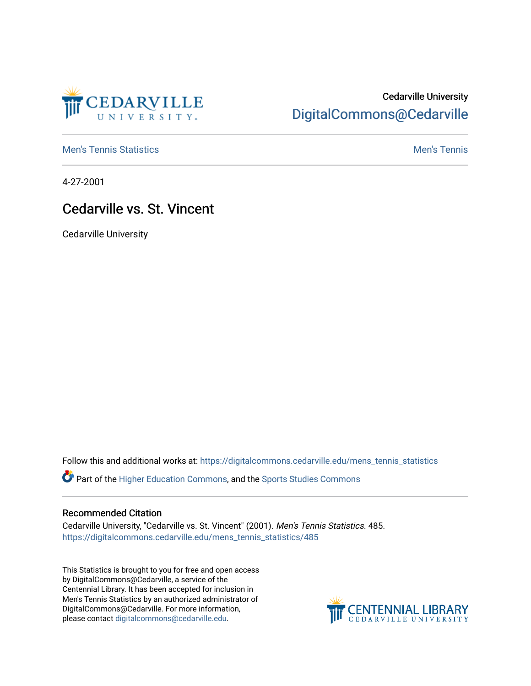

## Cedarville University [DigitalCommons@Cedarville](https://digitalcommons.cedarville.edu/)

**[Men's Tennis Statistics](https://digitalcommons.cedarville.edu/mens_tennis_statistics) Mental According to the Control of Control According Mental Men's Tennis** 

4-27-2001

## Cedarville vs. St. Vincent

Cedarville University

Follow this and additional works at: [https://digitalcommons.cedarville.edu/mens\\_tennis\\_statistics](https://digitalcommons.cedarville.edu/mens_tennis_statistics?utm_source=digitalcommons.cedarville.edu%2Fmens_tennis_statistics%2F485&utm_medium=PDF&utm_campaign=PDFCoverPages)

Part of the [Higher Education Commons,](http://network.bepress.com/hgg/discipline/1245?utm_source=digitalcommons.cedarville.edu%2Fmens_tennis_statistics%2F485&utm_medium=PDF&utm_campaign=PDFCoverPages) and the [Sports Studies Commons](http://network.bepress.com/hgg/discipline/1198?utm_source=digitalcommons.cedarville.edu%2Fmens_tennis_statistics%2F485&utm_medium=PDF&utm_campaign=PDFCoverPages) 

## Recommended Citation

Cedarville University, "Cedarville vs. St. Vincent" (2001). Men's Tennis Statistics. 485. [https://digitalcommons.cedarville.edu/mens\\_tennis\\_statistics/485](https://digitalcommons.cedarville.edu/mens_tennis_statistics/485?utm_source=digitalcommons.cedarville.edu%2Fmens_tennis_statistics%2F485&utm_medium=PDF&utm_campaign=PDFCoverPages) 

This Statistics is brought to you for free and open access by DigitalCommons@Cedarville, a service of the Centennial Library. It has been accepted for inclusion in Men's Tennis Statistics by an authorized administrator of DigitalCommons@Cedarville. For more information, please contact [digitalcommons@cedarville.edu](mailto:digitalcommons@cedarville.edu).